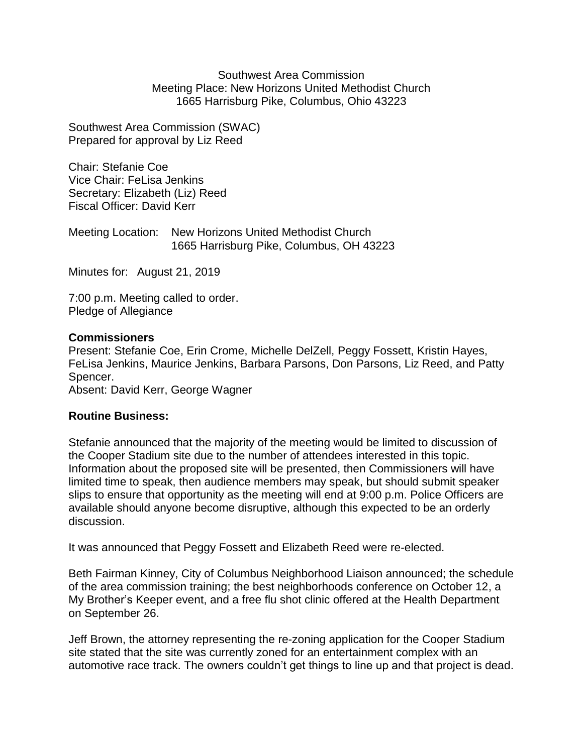Southwest Area Commission Meeting Place: New Horizons United Methodist Church 1665 Harrisburg Pike, Columbus, Ohio 43223

Southwest Area Commission (SWAC) Prepared for approval by Liz Reed

Chair: Stefanie Coe Vice Chair: FeLisa Jenkins Secretary: Elizabeth (Liz) Reed Fiscal Officer: David Kerr

Meeting Location: New Horizons United Methodist Church 1665 Harrisburg Pike, Columbus, OH 43223

Minutes for: August 21, 2019

7:00 p.m. Meeting called to order. Pledge of Allegiance

## **Commissioners**

Present: Stefanie Coe, Erin Crome, Michelle DelZell, Peggy Fossett, Kristin Hayes, FeLisa Jenkins, Maurice Jenkins, Barbara Parsons, Don Parsons, Liz Reed, and Patty Spencer.

Absent: David Kerr, George Wagner

## **Routine Business:**

Stefanie announced that the majority of the meeting would be limited to discussion of the Cooper Stadium site due to the number of attendees interested in this topic. Information about the proposed site will be presented, then Commissioners will have limited time to speak, then audience members may speak, but should submit speaker slips to ensure that opportunity as the meeting will end at 9:00 p.m. Police Officers are available should anyone become disruptive, although this expected to be an orderly discussion.

It was announced that Peggy Fossett and Elizabeth Reed were re-elected.

Beth Fairman Kinney, City of Columbus Neighborhood Liaison announced; the schedule of the area commission training; the best neighborhoods conference on October 12, a My Brother's Keeper event, and a free flu shot clinic offered at the Health Department on September 26.

Jeff Brown, the attorney representing the re-zoning application for the Cooper Stadium site stated that the site was currently zoned for an entertainment complex with an automotive race track. The owners couldn't get things to line up and that project is dead.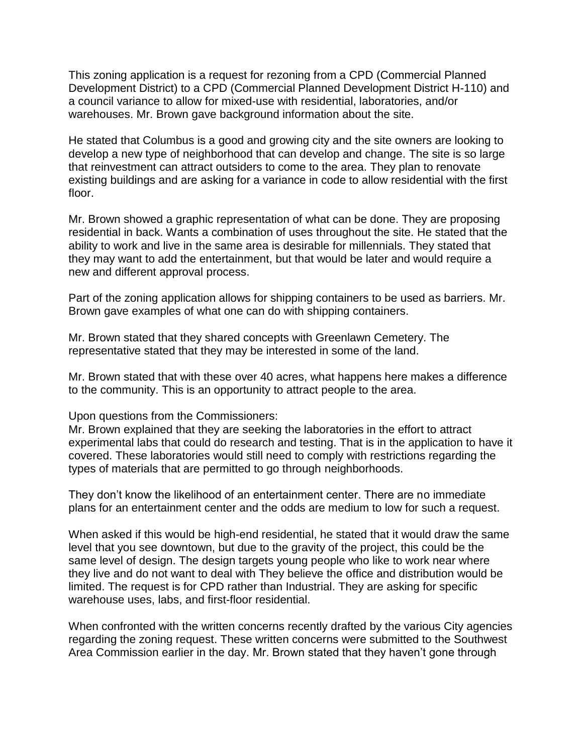This zoning application is a request for rezoning from a CPD (Commercial Planned Development District) to a CPD (Commercial Planned Development District H-110) and a council variance to allow for mixed-use with residential, laboratories, and/or warehouses. Mr. Brown gave background information about the site.

He stated that Columbus is a good and growing city and the site owners are looking to develop a new type of neighborhood that can develop and change. The site is so large that reinvestment can attract outsiders to come to the area. They plan to renovate existing buildings and are asking for a variance in code to allow residential with the first floor.

Mr. Brown showed a graphic representation of what can be done. They are proposing residential in back. Wants a combination of uses throughout the site. He stated that the ability to work and live in the same area is desirable for millennials. They stated that they may want to add the entertainment, but that would be later and would require a new and different approval process.

Part of the zoning application allows for shipping containers to be used as barriers. Mr. Brown gave examples of what one can do with shipping containers.

Mr. Brown stated that they shared concepts with Greenlawn Cemetery. The representative stated that they may be interested in some of the land.

Mr. Brown stated that with these over 40 acres, what happens here makes a difference to the community. This is an opportunity to attract people to the area.

Upon questions from the Commissioners:

Mr. Brown explained that they are seeking the laboratories in the effort to attract experimental labs that could do research and testing. That is in the application to have it covered. These laboratories would still need to comply with restrictions regarding the types of materials that are permitted to go through neighborhoods.

They don't know the likelihood of an entertainment center. There are no immediate plans for an entertainment center and the odds are medium to low for such a request.

When asked if this would be high-end residential, he stated that it would draw the same level that you see downtown, but due to the gravity of the project, this could be the same level of design. The design targets young people who like to work near where they live and do not want to deal with They believe the office and distribution would be limited. The request is for CPD rather than Industrial. They are asking for specific warehouse uses, labs, and first-floor residential.

When confronted with the written concerns recently drafted by the various City agencies regarding the zoning request. These written concerns were submitted to the Southwest Area Commission earlier in the day. Mr. Brown stated that they haven't gone through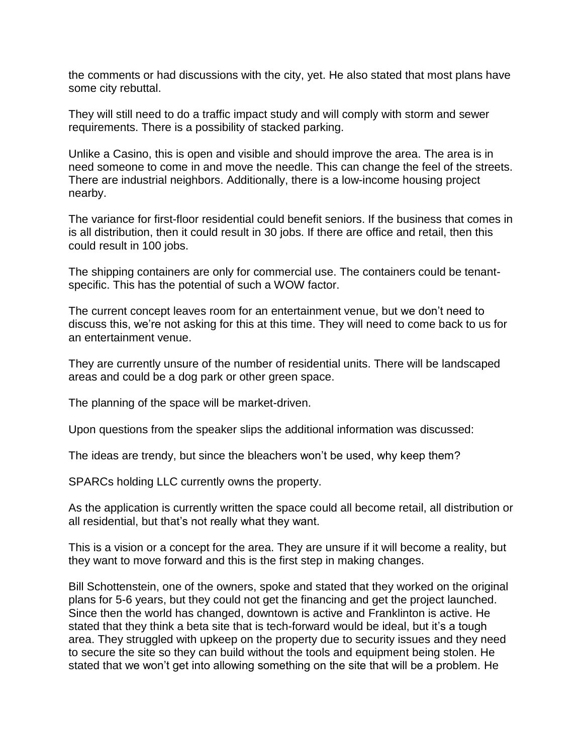the comments or had discussions with the city, yet. He also stated that most plans have some city rebuttal.

They will still need to do a traffic impact study and will comply with storm and sewer requirements. There is a possibility of stacked parking.

Unlike a Casino, this is open and visible and should improve the area. The area is in need someone to come in and move the needle. This can change the feel of the streets. There are industrial neighbors. Additionally, there is a low-income housing project nearby.

The variance for first-floor residential could benefit seniors. If the business that comes in is all distribution, then it could result in 30 jobs. If there are office and retail, then this could result in 100 jobs.

The shipping containers are only for commercial use. The containers could be tenantspecific. This has the potential of such a WOW factor.

The current concept leaves room for an entertainment venue, but we don't need to discuss this, we're not asking for this at this time. They will need to come back to us for an entertainment venue.

They are currently unsure of the number of residential units. There will be landscaped areas and could be a dog park or other green space.

The planning of the space will be market-driven.

Upon questions from the speaker slips the additional information was discussed:

The ideas are trendy, but since the bleachers won't be used, why keep them?

SPARCs holding LLC currently owns the property.

As the application is currently written the space could all become retail, all distribution or all residential, but that's not really what they want.

This is a vision or a concept for the area. They are unsure if it will become a reality, but they want to move forward and this is the first step in making changes.

Bill Schottenstein, one of the owners, spoke and stated that they worked on the original plans for 5-6 years, but they could not get the financing and get the project launched. Since then the world has changed, downtown is active and Franklinton is active. He stated that they think a beta site that is tech-forward would be ideal, but it's a tough area. They struggled with upkeep on the property due to security issues and they need to secure the site so they can build without the tools and equipment being stolen. He stated that we won't get into allowing something on the site that will be a problem. He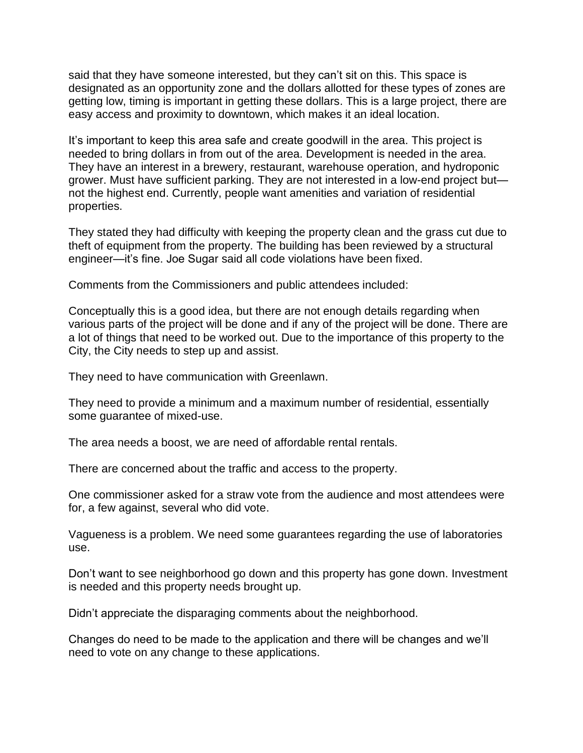said that they have someone interested, but they can't sit on this. This space is designated as an opportunity zone and the dollars allotted for these types of zones are getting low, timing is important in getting these dollars. This is a large project, there are easy access and proximity to downtown, which makes it an ideal location.

It's important to keep this area safe and create goodwill in the area. This project is needed to bring dollars in from out of the area. Development is needed in the area. They have an interest in a brewery, restaurant, warehouse operation, and hydroponic grower. Must have sufficient parking. They are not interested in a low-end project but not the highest end. Currently, people want amenities and variation of residential properties.

They stated they had difficulty with keeping the property clean and the grass cut due to theft of equipment from the property. The building has been reviewed by a structural engineer—it's fine. Joe Sugar said all code violations have been fixed.

Comments from the Commissioners and public attendees included:

Conceptually this is a good idea, but there are not enough details regarding when various parts of the project will be done and if any of the project will be done. There are a lot of things that need to be worked out. Due to the importance of this property to the City, the City needs to step up and assist.

They need to have communication with Greenlawn.

They need to provide a minimum and a maximum number of residential, essentially some guarantee of mixed-use.

The area needs a boost, we are need of affordable rental rentals.

There are concerned about the traffic and access to the property.

One commissioner asked for a straw vote from the audience and most attendees were for, a few against, several who did vote.

Vagueness is a problem. We need some guarantees regarding the use of laboratories use.

Don't want to see neighborhood go down and this property has gone down. Investment is needed and this property needs brought up.

Didn't appreciate the disparaging comments about the neighborhood.

Changes do need to be made to the application and there will be changes and we'll need to vote on any change to these applications.